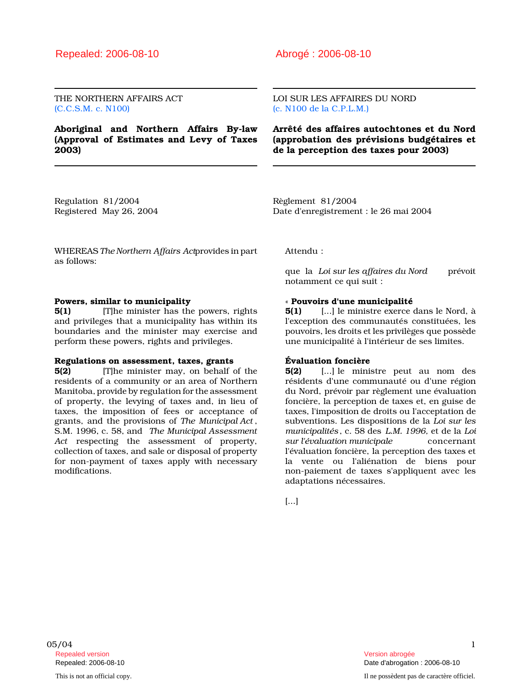THE NORTHERN AFFAIRS ACT (C.C.S.M. c. N100)

Aboriginal and Northern Affairs By-law (Approval of Estimates and Levy of Taxes 2003)

LOI SUR LES AFFAIRES DU NORD (c. N100 de la C.P.L.M.)

Arrêté des affaires autochtones et du Nord (approbation des prévisions budgétaires et de la perception des taxes pour 2003)

Regulation 81/2004 Registered May 26, 2004 Règlement 81/2004 Date d'enregistrement : le 26 mai 2004

WHEREAS The Northern Affairs Actprovides in part as follows:

#### Powers, similar to municipality

**5(1)** [The minister has the powers, rights and privileges that a municipality has within its boundaries and the minister may exercise and perform these powers, rights and privileges.

#### Regulations on assessment, taxes, grants

**5(2)** [T]he minister may, on behalf of the residents of a community or an area of Northern Manitoba, provide by regulation for the assessment of property, the levying of taxes and, in lieu of taxes, the imposition of fees or acceptance of grants, and the provisions of *The Municipal Act* , S.M. 1996, c. 58, and *The Municipal Assessment Act* respecting the assessment of property, collection of taxes, and sale or disposal of property for non-payment of taxes apply with necessary modifications.

Attendu :

que la *Loi sur les affaires du Nord* prévoit notamment ce qui suit :

### « Pouvoirs d'une municipalité

**5(1)** [...] le ministre exerce dans le Nord, à l'exception des communautés constituées, les pouvoirs, les droits et les privilèges que possède une municipalité à l'intérieur de ses limites.

### Évaluation foncière

5(2) [...] le ministre peut au nom des résidents d'une communauté ou d'une région du Nord, prévoir par règlement une évaluation foncière, la perception de taxes et, en guise de taxes, l'imposition de droits ou l'acceptation de subventions. Les dispositions de la *Loi sur les municipalités* , c. 58 des *L.M. 1996,* et de la *Loi* sur l'évaluation municipale concernant l'évaluation foncière, la perception des taxes et la vente ou l'aliénation de biens pour non-paiement de taxes s'appliquent avec les adaptations nécessaires.

[...]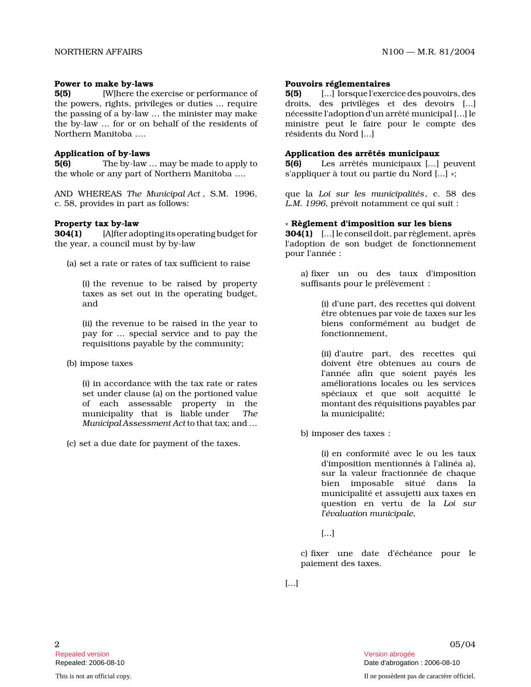### Power to make by-laws

**5(5)** [W]here the exercise or performance of the powers, rights, privileges or duties ... require the passing of a by-law … the minister may make the by-law … for or on behalf of the residents of Northern Manitoba ….

### Application of by-laws

5(6) The by-law … may be made to apply to the whole or any part of Northern Manitoba ….

AND WHEREAS *The Municipal Act* , S.M. 1996, c. 58, provides in part as follows:

#### Property tax by-law

**304(1)** [A]fter adopting its operating budget for the year, a council must by by-law

(a) set a rate or rates of tax sufficient to raise

(i) the revenue to be raised by property taxes as set out in the operating budget, and

(ii) the revenue to be raised in the year to pay for ... special service and to pay the requisitions payable by the community;

(b) impose taxes

(i) in accordance with the tax rate or rates set under clause (a) on the portioned value of each assessable property in the municipality that is liable under *The Municipal Assessment Act* to that tax; and …

(c) set a due date for payment of the taxes.

### Pouvoirs réglementaires

5(5) [...] lorsque l'exercice des pouvoirs, des droits, des privilèges et des devoirs [...] nécessite l'adoption d'un arrêté municipal [...] le ministre peut le faire pour le compte des résidents du Nord [...]

#### Application des arrêtés municipaux

5(6) Les arrêtés municipaux [...] peuvent s'appliquer à tout ou partie du Nord [...] »;

que la *Loi sur les municipalités*, c. 58 des *L.M. 1996*, prévoit notamment ce qui suit :

## « Règlement d'imposition sur les biens

304(1) [...] le conseil doit, par règlement, après l'adoption de son budget de fonctionnement pour l'année :

a) fixer un ou des taux d'imposition suffisants pour le prélèvement :

> (i) d'une part, des recettes qui doivent être obtenues par voie de taxes sur les biens conformément au budget de fonctionnement,

> (ii) d'autre part, des recettes qui doivent être obtenues au cours de l'année afin que soient payés les améliorations locales ou les services spéciaux et que soit acquitté le montant des réquisitions payables par la municipalité;

b) imposer des taxes :

(i) en conformité avec le ou les taux d'imposition mentionnés à l'alinéa a), sur la valeur fractionnée de chaque bien imposable situé dans la municipalité et assujetti aux taxes en question en vertu de la *Loi sur l'évaluation municipale,*

[...]

c) fixer une date d'échéance pour le paiement des taxes.

[...]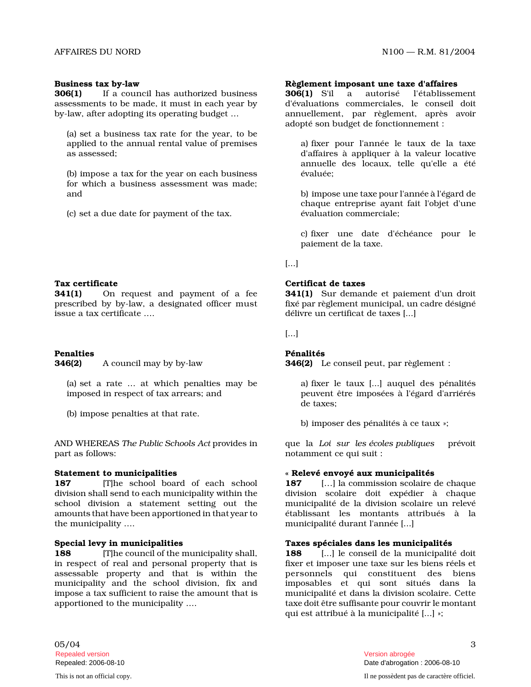## Business tax by-law

**306(1)** If a council has authorized business assessments to be made, it must in each year by by-law, after adopting its operating budget …

(a) set a business tax rate for the year, to be applied to the annual rental value of premises as assessed;

(b) impose a tax for the year on each business for which a business assessment was made; and

(c) set a due date for payment of the tax.

## Tax certificate

**341(1)** On request and payment of a fee prescribed by by-law, a designated officer must issue a tax certificate ….

### Penalties

346(2) A council may by by-law

(a) set a rate … at which penalties may be imposed in respect of tax arrears; and

(b) impose penalties at that rate.

AND WHEREAS *The Public Schools Act* provides in part as follows:

### Statement to municipalities

187 [The school board of each school division shall send to each municipality within the school division a statement setting out the amounts that have been apportioned in that year to the municipality ….

## Special levy in municipalities

188 [T] T] The council of the municipality shall, in respect of real and personal property that is assessable property and that is within the municipality and the school division, fix and impose a tax sufficient to raise the amount that is apportioned to the municipality ….

### Règlement imposant une taxe d'affaires

306(1) S'il a autorisé l'établissement d'évaluations commerciales, le conseil doit annuellement, par règlement, après avoir adopté son budget de fonctionnement :

a) fixer pour l'année le taux de la taxe d'affaires à appliquer à la valeur locative annuelle des locaux, telle qu'elle a été évaluée;

b) impose une taxe pour l'année à l'égard de chaque entreprise ayant fait l'objet d'une évaluation commerciale;

c) fixer une date d'échéance pour le paiement de la taxe.

[...]

# Certificat de taxes

341(1) Sur demande et paiement d'un droit fixé par règlement municipal, un cadre désigné délivre un certificat de taxes [...]

[...]

## Pénalités

346(2) Le conseil peut, par règlement :

a) fixer le taux [...] auquel des pénalités peuvent être imposées à l'égard d'arriérés de taxes;

b) imposer des pénalités à ce taux »;

que la *Loi sur les écoles publiques* prévoit notamment ce qui suit :

### « Relevé envoyé aux municipalités

187 [...] la commission scolaire de chaque division scolaire doit expédier à chaque municipalité de la division scolaire un relevé établissant les montants attribués à la municipalité durant l'année [...]

## Taxes spéciales dans les municipalités

188 [...] le conseil de la municipalité doit fixer et imposer une taxe sur les biens réels et personnels qui constituent des biens imposables et qui sont situés dans la municipalité et dans la division scolaire. Cette taxe doit être suffisante pour couvrir le montant qui est attribué à la municipalité [...] »;

05/04 Repealed version Version abrogée

Repealed: 2006-08-10 Date d'abrogation : 2006-08-10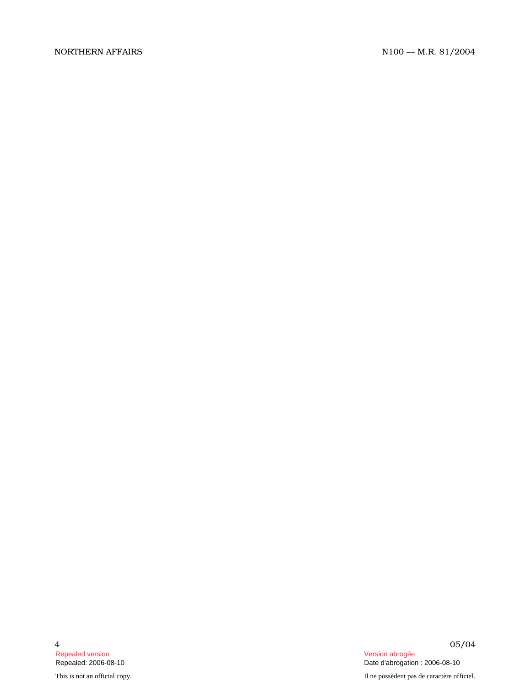4 05/04 Date d'abrogation : 2006-08-10 This is not an official copy. Il ne possèdent pas de caractère officiel.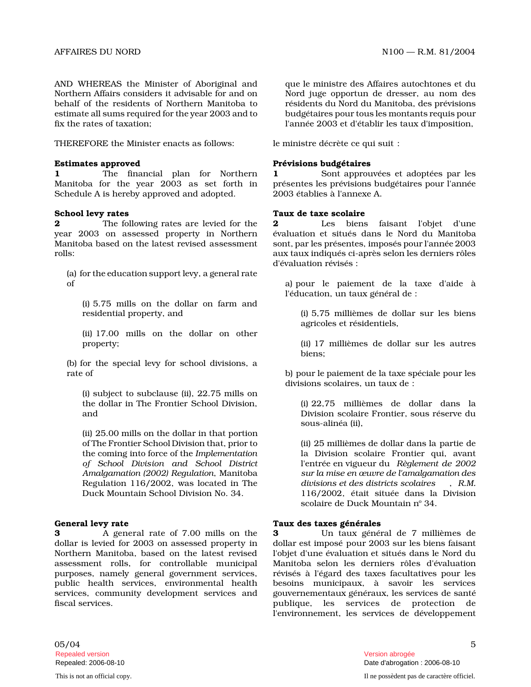AND WHEREAS the Minister of Aboriginal and Northern Affairs considers it advisable for and on behalf of the residents of Northern Manitoba to estimate all sums required for the year 2003 and to fix the rates of taxation;

THEREFORE the Minister enacts as follows: le ministre décrète ce qui suit :

### Estimates approved

1 The financial plan for Northern Manitoba for the year 2003 as set forth in Schedule A is hereby approved and adopted.

## School levy rates

**2** The following rates are levied for the year 2003 on assessed property in Northern Manitoba based on the latest revised assessment rolls:

(a) for the education support levy, a general rate of

(i) 5.75 mills on the dollar on farm and residential property, and

(ii) 17.00 mills on the dollar on other property;

(b) for the special levy for school divisions, a rate of

(i) subject to subclause (ii), 22.75 mills on the dollar in The Frontier School Division, and

(ii) 25.00 mills on the dollar in that portion of The Frontier School Division that, prior to the coming into force of the *Implementation of School Division and School District Amalgamation (2002) Regulation*, Manitoba Regulation 116/2002, was located in The Duck Mountain School Division No. 34.

### General levy rate

3 A general rate of 7.00 mills on the dollar is levied for 2003 on assessed property in Northern Manitoba, based on the latest revised assessment rolls, for controllable municipal purposes, namely general government services, public health services, environmental health services, community development services and fiscal services.

que le ministre des Affaires autochtones et du Nord juge opportun de dresser, au nom des résidents du Nord du Manitoba, des prévisions budgétaires pour tous les montants requis pour l'année 2003 et d'établir les taux d'imposition,

## Prévisions budgétaires

1 Sont approuvées et adoptées par les présentes les prévisions budgétaires pour l'année 2003 établies à l'annexe A.

## Taux de taxe scolaire

2 Les biens faisant l'objet d'une évaluation et situés dans le Nord du Manitoba sont, par les présentes, imposés pour l'année 2003 aux taux indiqués ci-après selon les derniers rôles d'évaluation révisés :

a) pour le paiement de la taxe d'aide à l'éducation, un taux général de :

(i) 5,75 millièmes de dollar sur les biens agricoles et résidentiels,

(ii) 17 millièmes de dollar sur les autres biens;

b) pour le paiement de la taxe spéciale pour les divisions scolaires, un taux de :

(i) 22,75 millièmes de dollar dans la Division scolaire Frontier, sous réserve du sous-alinéa (ii),

(ii) 25 millièmes de dollar dans la partie de la Division scolaire Frontier qui, avant l'entrée en vigueur du *Règlement de 2002 sur la mise en œuvre de l'amalgamation des divisions et des districts scolaires* , *R.M.* 116/2002, était située dans la Division scolaire de Duck Mountain nº 34.

### Taux des taxes générales

3 Un taux général de 7 millièmes de dollar est imposé pour 2003 sur les biens faisant l'objet d'une évaluation et situés dans le Nord du Manitoba selon les derniers rôles d'évaluation révisés à l'égard des taxes facultatives pour les besoins municipaux, à savoir les services gouvernementaux généraux, les services de santé publique, les services de protection de l'environnement, les services de développement

05/04 Repealed version abrogée et al. Alian abrogée et al. Alian abrogée et al. Alian abrogée et al. Alian abrogée e

5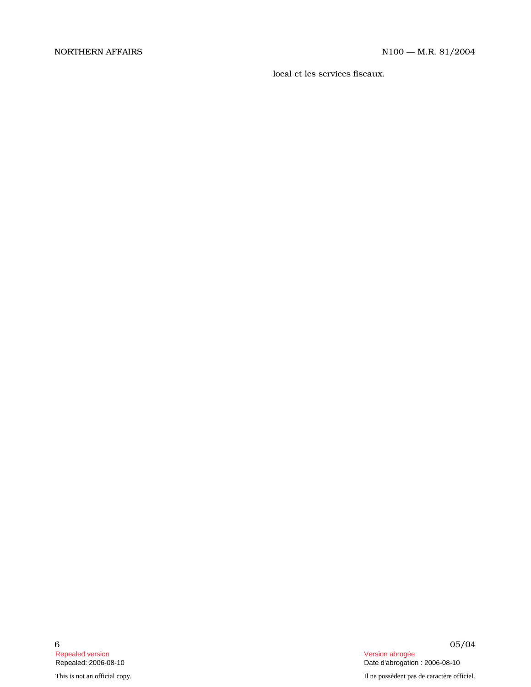local et les services fiscaux.

Date d'abrogation : 2006-08-10 This is not an official copy. Il ne possèdent pas de caractère officiel.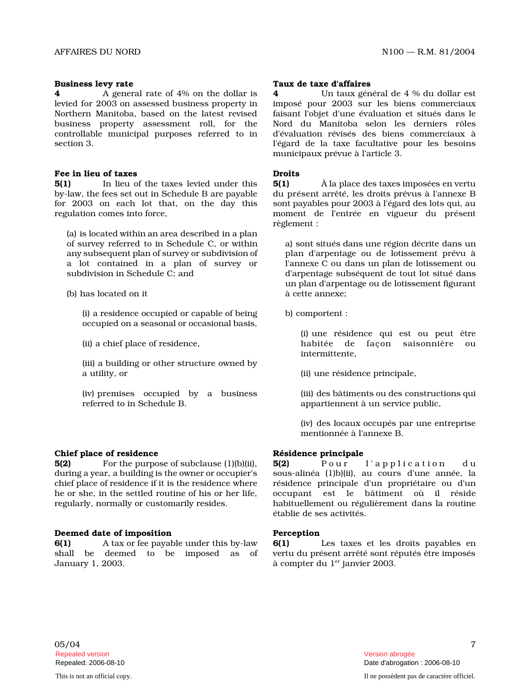## Business levy rate

4 A general rate of 4% on the dollar is levied for 2003 on assessed business property in Northern Manitoba, based on the latest revised business property assessment roll, for the controllable municipal purposes referred to in section 3.

### Fee in lieu of taxes

**5(1)** In lieu of the taxes levied under this by-law, the fees set out in Schedule B are payable for 2003 on each lot that, on the day this regulation comes into force,

(a) is located within an area described in a plan of survey referred to in Schedule C, or within any subsequent plan of survey or subdivision of a lot contained in a plan of survey or subdivision in Schedule C; and

(b) has located on it

(i) a residence occupied or capable of being occupied on a seasonal or occasional basis,

(ii) a chief place of residence,

(iii) a building or other structure owned by a utility, or

(iv) premises occupied by a business referred to in Schedule B.

## Chief place of residence

5(2) For the purpose of subclause (1)(b)(ii), during a year, a building is the owner or occupier's chief place of residence if it is the residence where he or she, in the settled routine of his or her life, regularly, normally or customarily resides.

## Deemed date of imposition

6(1) A tax or fee payable under this by-law shall be deemed to be imposed as of January 1, 2003.

### Taux de taxe d'affaires

4 Un taux général de 4 % du dollar est imposé pour 2003 sur les biens commerciaux faisant l'objet d'une évaluation et situés dans le Nord du Manitoba selon les derniers rôles d'évaluation révisés des biens commerciaux à l'égard de la taxe facultative pour les besoins municipaux prévue à l'article 3.

# **Droits**

5(1) À la place des taxes imposées en vertu du présent arrêté, les droits prévus à l'annexe B sont payables pour 2003 à l'égard des lots qui, au moment de l'entrée en vigueur du présent règlement :

a) sont situés dans une région décrite dans un plan d'arpentage ou de lotissement prévu à l'annexe C ou dans un plan de lotissement ou d'arpentage subséquent de tout lot situé dans un plan d'arpentage ou de lotissement figurant à cette annexe;

b) comportent :

(i) une résidence qui est ou peut être habitée de façon saisonnière ou intermittente,

(ii) une résidence principale,

(iii) des bâtiments ou des constructions qui appartiennent à un service public,

(iv) des locaux occupés par une entreprise mentionnée à l'annexe B.

# Résidence principale

5(2) Pour l'application du sous-alinéa (1)b)(ii), au cours d'une année, la résidence principale d'un propriétaire ou d'un occupant est le bâtiment où il réside habituellement ou régulièrement dans la routine établie de ses activités.

### Perception

6(1) Les taxes et les droits payables en vertu du présent arrêté sont réputés être imposés à compter du  $1<sup>er</sup>$  janvier 2003.

05/04 Repealed version abrogée et al. Alian abrogée et al. Alian abrogée et al. Alian abrogée et al. Alian abrogée e

This is not an official copy. Il ne possèdent pas de caractère officiel.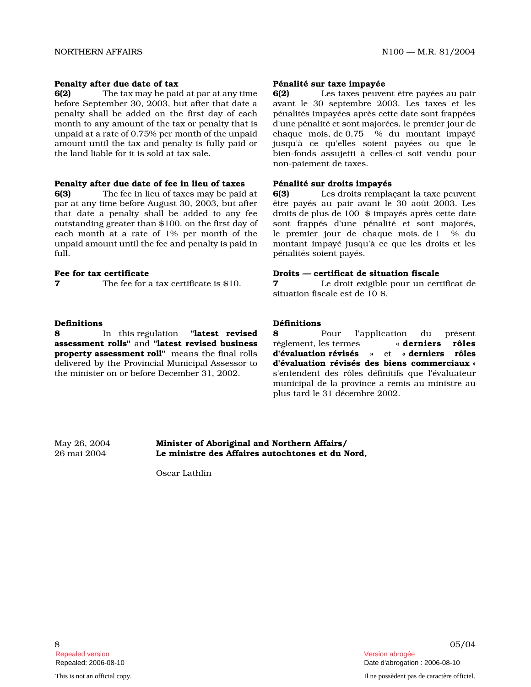### Penalty after due date of tax

6(2) The tax may be paid at par at any time before September 30, 2003, but after that date a penalty shall be added on the first day of each month to any amount of the tax or penalty that is unpaid at a rate of 0.75% per month of the unpaid amount until the tax and penalty is fully paid or the land liable for it is sold at tax sale.

### Penalty after due date of fee in lieu of taxes

6(3) The fee in lieu of taxes may be paid at par at any time before August 30, 2003, but after that date a penalty shall be added to any fee outstanding greater than \$100. on the first day of each month at a rate of 1% per month of the unpaid amount until the fee and penalty is paid in full.

## Fee for tax certificate

7 The fee for a tax certificate is \$10.

## Definitions

8 In this regulation "latest revised assessment rolls" and "latest revised business property assessment roll" means the final rolls delivered by the Provincial Municipal Assessor to the minister on or before December 31, 2002.

### Pénalité sur taxe impayée

6(2) Les taxes peuvent être payées au pair avant le 30 septembre 2003. Les taxes et les pénalités impayées après cette date sont frappées d'une pénalité et sont majorées, le premier jour de chaque mois, de 0,75 % du montant impayé jusqu'à ce qu'elles soient payées ou que le bien-fonds assujetti à celles-ci soit vendu pour non-paiement de taxes.

## Pénalité sur droits impayés

6(3) Les droits remplaçant la taxe peuvent être payés au pair avant le 30 août 2003. Les droits de plus de 100 \$ impayés après cette date sont frappés d'une pénalité et sont majorés, le premier jour de chaque mois, de 1 % du montant impayé jusqu'à ce que les droits et les pénalités soient payés.

## Droits — certificat de situation fiscale

7 Le droit exigible pour un certificat de situation fiscale est de 10 \$.

## Définitions

8 Pour l'application du présent règlement, les termes « derniers rôles d'évaluation révisés » et « derniers rôles d'évaluation révisés des biens commerciaux » s'entendent des rôles définitifs que l'évaluateur municipal de la province a remis au ministre au plus tard le 31 décembre 2002.

## May 26, 2004 Minister of Aboriginal and Northern Affairs/ 26 mai 2004 Le ministre des Affaires autochtones et du Nord,

Oscar Lathlin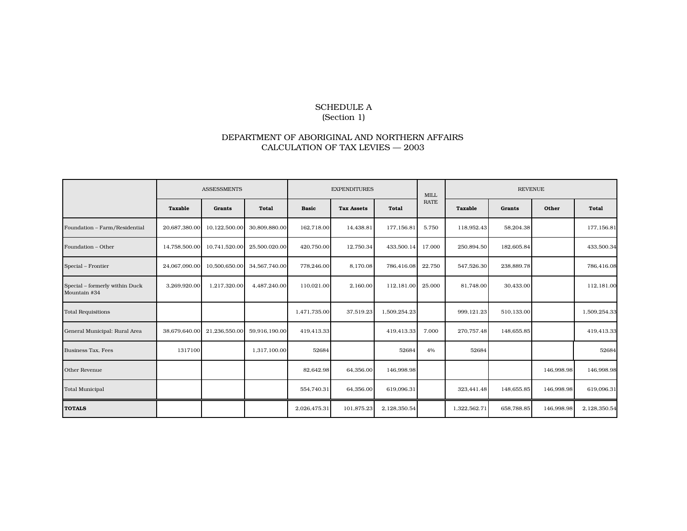# SCHEDULE A (Section 1)

## DEPARTMENT OF ABORIGINAL AND NORTHERN AFFAIRS CALCULATION OF TAX LEVIES — 2003

|                                                | <b>ASSESSMENTS</b> |               |               | <b>EXPENDITURES</b> |                   |              | <b>MILL</b> | <b>REVENUE</b> |               |            |              |
|------------------------------------------------|--------------------|---------------|---------------|---------------------|-------------------|--------------|-------------|----------------|---------------|------------|--------------|
|                                                | <b>Taxable</b>     | <b>Grants</b> | <b>Total</b>  | <b>Basic</b>        | <b>Tax Assets</b> | <b>Total</b> | <b>RATE</b> | <b>Taxable</b> | <b>Grants</b> | Other      | <b>Total</b> |
| Foundation - Farm/Residential                  | 20.687.380.00      | 10.122.500.00 | 30.809.880.00 | 162.718.00          | 14,438.81         | 177,156.81   | 5.750       | 118.952.43     | 58.204.38     |            | 177,156.81   |
| Foundation - Other                             | 14,758,500.00      | 10,741,520.00 | 25,500.020.00 | 420,750.00          | 12,750.34         | 433,500.14   | 17.000      | 250,894.50     | 182,605.84    |            | 433,500.34   |
| Special - Frontier                             | 24,067,090.00      | 10,500,650.00 | 34,567,740.00 | 778,246.00          | 8,170.08          | 786,416.08   | 22.750      | 547,526.30     | 238,889.78    |            | 786,416.08   |
| Special - formerly within Duck<br>Mountain #34 | 3,269,920.00       | 1,217,320.00  | 4,487,240.00  | 110,021.00          | 2,160.00          | 112,181.00   | 25.000      | 81,748.00      | 30,433.00     |            | 112,181.00   |
| <b>Total Requisitions</b>                      |                    |               |               | 1,471,735.00        | 37,519.23         | 1,509,254.23 |             | 999,121.23     | 510,133.00    |            | 1,509,254.33 |
| General Municipal: Rural Area                  | 38,679,640.00      | 21,236,550.00 | 59.916.190.00 | 419,413.33          |                   | 419,413.33   | 7.000       | 270.757.48     | 148,655.85    |            | 419,413.33   |
| <b>Business Tax. Fees</b>                      | 1317100            |               | 1,317,100.00  | 52684               |                   | 52684        | 4%          | 52684          |               |            | 52684        |
| Other Revenue                                  |                    |               |               | 82,642.98           | 64,356.00         | 146,998.98   |             |                |               | 146,998.98 | 146,998.98   |
| <b>Total Municipal</b>                         |                    |               |               | 554,740.31          | 64,356.00         | 619,096.31   |             | 323,441.48     | 148,655.85    | 146,998.98 | 619,096.31   |
| <b>TOTALS</b>                                  |                    |               |               | 2,026,475.31        | 101,875.23        | 2,128,350.54 |             | 1,322,562.71   | 658.788.85    | 146,998.98 | 2,128,350.54 |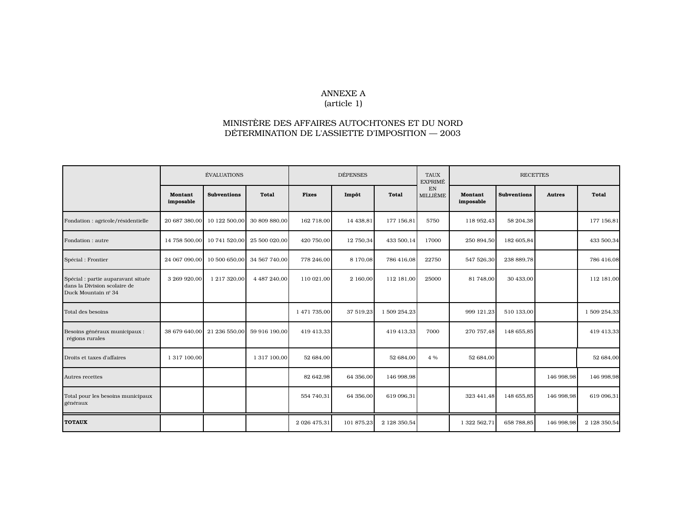## ANNEXE A (article 1)

# MINISTÈRE DES AFFAIRES AUTOCHTONES ET DU NORD DÉTERMINATION DE L'ASSIETTE D'IMPOSITION — 2003

|                                                                                           | ÉVALUATIONS          |               |               | <b>DÉPENSES</b> |            |              | <b>TAUX</b><br><b>EXPRIMÉ</b>          | <b>RECETTES</b>             |                    |               |              |
|-------------------------------------------------------------------------------------------|----------------------|---------------|---------------|-----------------|------------|--------------|----------------------------------------|-----------------------------|--------------------|---------------|--------------|
|                                                                                           | Montant<br>imposable | Subventions   | <b>Total</b>  | <b>Fixes</b>    | Impôt      | <b>Total</b> | $\mathop{\rm EN}\nolimits$<br>MILLIÈME | <b>Montant</b><br>imposable | <b>Subventions</b> | <b>Autres</b> | <b>Total</b> |
| Fondation : agricole/résidentielle                                                        | 20 687 380,00        | 10 122 500.00 | 30 809 880,00 | 162 718.00      | 14 438,81  | 177 156,81   | 5750                                   | 118 952,43                  | 58 204,38          |               | 177 156,81   |
| Fondation: autre                                                                          | 14 758 500.00        | 10 741 520.00 | 25 500 020.00 | 420 750.00      | 12 750,34  | 433 500,14   | 17000                                  | 250 894,50                  | 182 605,84         |               | 433 500,34   |
| Spécial : Frontier                                                                        | 24 067 090.00        | 10 500 650,00 | 34 567 740,00 | 778 246,00      | 8 170,08   | 786 416,08   | 22750                                  | 547 526,30                  | 238 889,78         |               | 786 416,08   |
| Spécial : partie auparavant située<br>dans la Division scolaire de<br>Duck Mountain nº 34 | 3 269 920.00         | 1 217 320.00  | 4 487 240.00  | 110 021.00      | 2 160,00   | 112 181.00   | 25000                                  | 81 748,00                   | 30 433,00          |               | 112 181,00   |
| Total des besoins                                                                         |                      |               |               | 1 471 735,00    | 37 519,23  | 1509254.23   |                                        | 999 121,23                  | 510 133,00         |               | 1509254.33   |
| Besoins généraux municipaux :<br>régions rurales                                          | 38 679 640,00        | 21 236 550,00 | 59 916 190,00 | 419 413,33      |            | 419 413,33   | 7000                                   | 270 757,48                  | 148 655,85         |               | 419 413,33   |
| Droits et taxes d'affaires                                                                | 1 317 100,00         |               | 1 317 100,00  | 52 684,00       |            | 52 684,00    | 4 %                                    | 52 684,00                   |                    |               | 52 684,00    |
| Autres recettes                                                                           |                      |               |               | 82 642,98       | 64 356,00  | 146 998,98   |                                        |                             |                    | 146 998.98    | 146 998,98   |
| Total pour les besoins municipaux<br>généraux                                             |                      |               |               | 554 740.31      | 64 356,00  | 619 096,31   |                                        | 323 441,48                  | 148 655,85         | 146 998,98    | 619 096,31   |
| <b>TOTAUX</b>                                                                             |                      |               |               | 2 026 475,31    | 101 875,23 | 2 128 350,54 |                                        | 1 322 562,71                | 658 788,85         | 146 998,98    | 2 128 350,54 |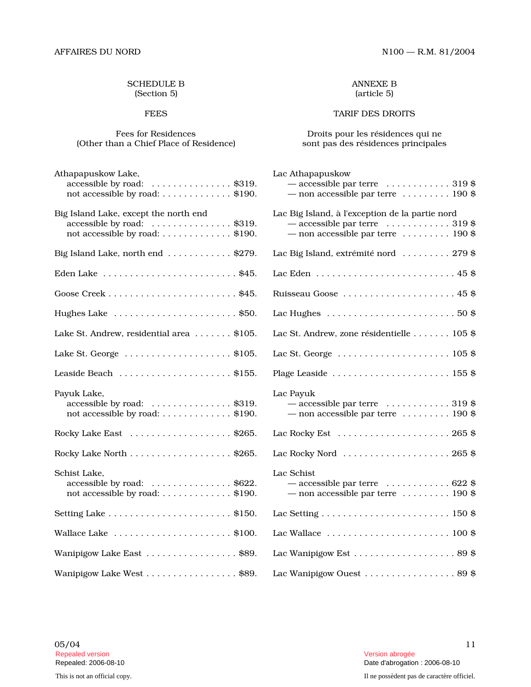# SCHEDULE B (Section 5)

# Fees for Residences (Other than a Chief Place of Residence)

| Athapapuskow Lake,<br>accessible by road: \$319.                                       |
|----------------------------------------------------------------------------------------|
| not accessible by road: $\dots \dots \dots \dots$ \$190.                               |
| Big Island Lake, except the north end                                                  |
| accessible by road: \$319.<br>not accessible by road: \$190.                           |
| Big Island Lake, north end  \$279.                                                     |
|                                                                                        |
|                                                                                        |
| Hughes Lake $\dots\dots\dots\dots\dots\dots\dots$ \$50.                                |
| Lake St. Andrew, residential area  \$105.                                              |
|                                                                                        |
|                                                                                        |
| Payuk Lake,<br>accessible by road: \$319.                                              |
| not accessible by road: \$190.                                                         |
| Rocky Lake East $\dots \dots \dots \dots \dots \dots$ \$265.                           |
| Rocky Lake North \$265.                                                                |
| Schist Lake,                                                                           |
| accessible by road: \$622.<br>not accessible by road: $\dots \dots \dots \dots$ \$190. |
|                                                                                        |
|                                                                                        |
| Wanipigow Lake East \$89.                                                              |
| Wanipigow Lake West \$89.                                                              |

## ANNEXE B (article 5)

## FEES TARIF DES DROITS

Droits pour les résidences qui ne sont pas des résidences principales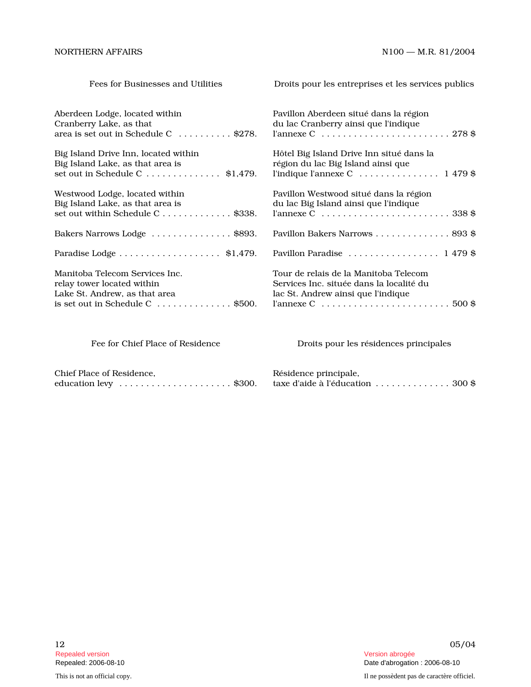| Fees for Businesses and Utilities                                                                                                                              | Droits pour les entreprises et les services publics                                                                                                                                             |
|----------------------------------------------------------------------------------------------------------------------------------------------------------------|-------------------------------------------------------------------------------------------------------------------------------------------------------------------------------------------------|
| Aberdeen Lodge, located within<br>Cranberry Lake, as that<br>area is set out in Schedule C $\ldots \ldots \ldots$ \$278.                                       | Pavillon Aberdeen situé dans la région<br>du lac Cranberry ainsi que l'indique                                                                                                                  |
| Big Island Drive Inn, located within<br>Big Island Lake, as that area is<br>set out in Schedule C $\dots \dots \dots \dots$ \$1,479.                           | Hôtel Big Island Drive Inn situé dans la<br>région du lac Big Island ainsi que                                                                                                                  |
| Westwood Lodge, located within<br>Big Island Lake, as that area is<br>set out within Schedule C \$338.                                                         | Pavillon Westwood situé dans la région<br>du lac Big Island ainsi que l'indique                                                                                                                 |
| Bakers Narrows Lodge  \$893.                                                                                                                                   | Pavillon Bakers Narrows 893 \$                                                                                                                                                                  |
| Paradise Lodge $\dots \dots \dots \dots \dots$ \$1,479.                                                                                                        | Pavillon Paradise $\dots\dots\dots\dots\dots\dots$ 1 479 \$                                                                                                                                     |
| Manitoba Telecom Services Inc.<br>relay tower located within<br>Lake St. Andrew, as that area<br>is set out in Schedule C $\ldots \ldots \ldots \ldots$ \$500. | Tour de relais de la Manitoba Telecom<br>Services Inc. située dans la localité du<br>lac St. Andrew ainsi que l'indique<br>l'annexe $C \ldots \ldots \ldots \ldots \ldots \ldots \ldots 500$ \$ |
| Fee for Chief Place of Residence                                                                                                                               | Droits pour les résidences principales                                                                                                                                                          |
|                                                                                                                                                                |                                                                                                                                                                                                 |

Chief Place of Residence, education levy . . . . . . . . . . . . . . . . . . . . . \$300.

Résidence principale, taxe d'aide à l'éducation . . . . . . . . . . . . . . 300 \$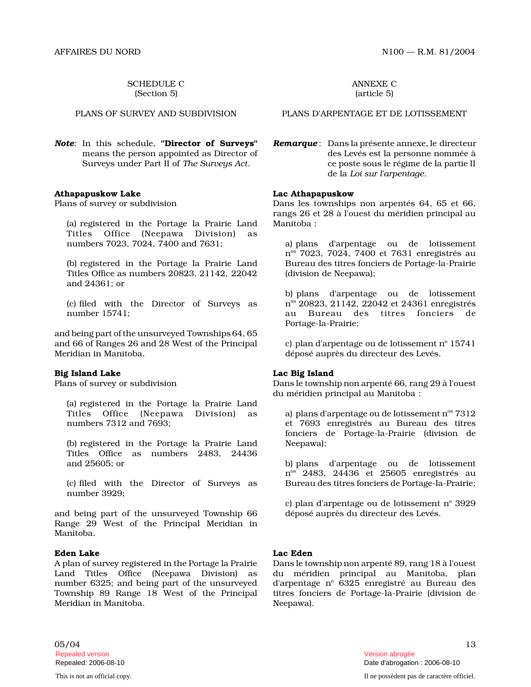### SCHEDULE C (Section 5)

*Note :* In this schedule, "Director of Surveys" means the person appointed as Director of Surveys under Part II of *The Surveys Act* .

#### Athapapuskow Lake

Plans of survey or subdivision

(a) registered in the Portage la Prairie Land Titles Office (Neepawa Division) as numbers 7023, 7024, 7400 and 7631;

(b) registered in the Portage la Prairie Land Titles Office as numbers 20823, 21142, 22042 and 24361; or

(c) filed with the Director of Surveys as number 15741;

and being part of the unsurveyed Townships 64, 65 and 66 of Ranges 26 and 28 West of the Principal Meridian in Manitoba.

#### Big Island Lake

Plans of survey or subdivision

(a) registered in the Portage la Prairie Land Titles Office (Neepawa Division) as numbers 7312 and 7693;

(b) registered in the Portage la Prairie Land Titles Office as numbers 2483, 24436 and 25605; or

(c) filed with the Director of Surveys as number 3929;

and being part of the unsurveyed Township 66 Range 29 West of the Principal Meridian in Manitoba.

## Eden Lake

A plan of survey registered in the Portage la Prairie Land Titles Office (Neepawa Division) as number 6325; and being part of the unsurveyed Township 89 Range 18 West of the Principal Meridian in Manitoba.

ANNEXE C (article 5)

PLANS OF SURVEY AND SUBDIVISION PLANS D'ARPENTAGE ET DE LOTISSEMENT

*Remarque* : Dans la présente annexe, le directeur des Levés est la personne nommée à ce poste sous le régime de la partie II de la *Loi sur l'arpentage* .

#### Lac Athapapuskow

Dans les townships non arpentés 64, 65 et 66, rangs 26 et 28 à l'ouest du méridien principal au Manitoba :

a) plans d'arpentage ou de lotissement n<sup>os</sup> 7023, 7024, 7400 et 7631 enregistrés au Bureau des titres fonciers de Portage-la-Prairie (division de Neepawa);

b) plans d'arpentage ou de lotissement n os 20823, 21142, 22042 et 24361 enregistrés au Bureau des titres fonciers de Portage-la-Prairie;

c) plan d'arpentage ou de lotissement nº 15741 déposé auprès du directeur des Levés.

### Lac Big Island

Dans le township non arpenté 66, rang 29 à l'ouest du méridien principal au Manitoba :

a) plans d'arpentage ou de lotissement  $n^{\circ s}$  7312 et 7693 enregistrés au Bureau des titres fonciers de Portage-la-Prairie (division de Neepawa);

b) plans d'arpentage ou de lotissement n os 2483, 24436 et 25605 enregistrés au Bureau des titres fonciers de Portage-la-Prairie;

c) plan d'arpentage ou de lotissement nº 3929 déposé auprès du directeur des Levés.

# Lac Eden

Dans le township non arpenté 89, rang 18 à l'ouest du méridien principal au Manitoba, plan d'arpentage nº 6325 enregistré au Bureau des titres fonciers de Portage-la-Prairie (division de Neepawa).

 $05/04$  and  $13$ Repealed version Version abrogée

Repealed: 2006-08-10 Date d'abrogation : 2006-08-10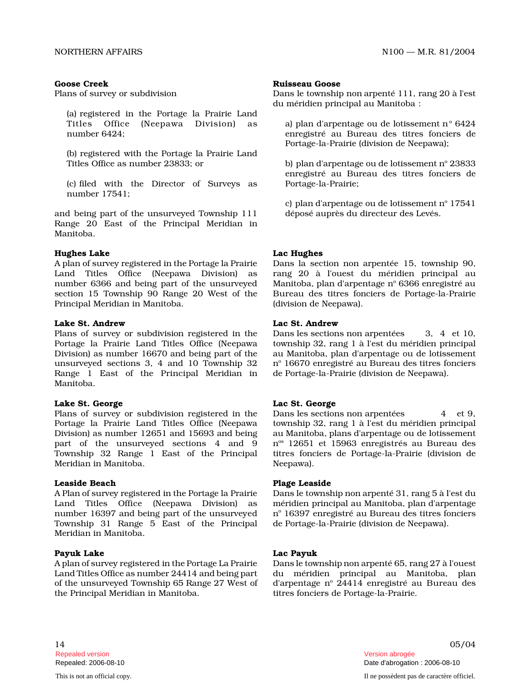### Goose Creek

Plans of survey or subdivision

(a) registered in the Portage la Prairie Land Titles Office (Neepawa Division) as number 6424;

(b) registered with the Portage la Prairie Land Titles Office as number 23833; or

(c) filed with the Director of Surveys as number 17541;

and being part of the unsurveyed Township 111 Range 20 East of the Principal Meridian in Manitoba.

## Hughes Lake

A plan of survey registered in the Portage la Prairie Land Titles Office (Neepawa Division) as number 6366 and being part of the unsurveyed section 15 Township 90 Range 20 West of the Principal Meridian in Manitoba.

## Lake St. Andrew

Plans of survey or subdivision registered in the Portage la Prairie Land Titles Office (Neepawa Division) as number 16670 and being part of the unsurveyed sections 3, 4 and 10 Township 32 Range 1 East of the Principal Meridian in Manitoba.

### Lake St. George

Plans of survey or subdivision registered in the Portage la Prairie Land Titles Office (Neepawa Division) as number 12651 and 15693 and being part of the unsurveyed sections 4 and 9 Township 32 Range 1 East of the Principal Meridian in Manitoba.

### Leaside Beach

A Plan of survey registered in the Portage la Prairie Land Titles Office (Neepawa Division) as number 16397 and being part of the unsurveyed Township 31 Range 5 East of the Principal Meridian in Manitoba.

## Payuk Lake

A plan of survey registered in the Portage La Prairie Land Titles Office as number 24414 and being part of the unsurveyed Township 65 Range 27 West of the Principal Meridian in Manitoba.

### NORTHERN AFFAIRS N100 — M.R. 81/2004

## Ruisseau Goose

Dans le township non arpenté 111, rang 20 à l'est du méridien principal au Manitoba :

a) plan d'arpentage ou de lotissement n° 6424 enregistré au Bureau des titres fonciers de Portage-la-Prairie (division de Neepawa);

b) plan d'arpentage ou de lotissement nº 23833 enregistré au Bureau des titres fonciers de Portage-la-Prairie;

c) plan d'arpentage ou de lotissement nº 17541 déposé auprès du directeur des Levés.

## Lac Hughes

Dans la section non arpentée 15, township 90, rang 20 à l'ouest du méridien principal au Manitoba, plan d'arpentage nº 6366 enregistré au Bureau des titres fonciers de Portage-la-Prairie (division de Neepawa).

## Lac St. Andrew

Dans les sections non arpentées 3, 4 et 10, township 32, rang 1 à l'est du méridien principal au Manitoba, plan d'arpentage ou de lotissement nº 16670 enregistré au Bureau des titres fonciers de Portage-la-Prairie (division de Neepawa).

### Lac St. George

Dans les sections non arpentées  $4$  et 9, township 32, rang 1 à l'est du méridien principal au Manitoba, plans d'arpentage ou de lotissement n os 12651 et 15963 enregistrés au Bureau des titres fonciers de Portage-la-Prairie (division de Neepawa).

### Plage Leaside

Dans le township non arpenté 31, rang 5 à l'est du méridien principal au Manitoba, plan d'arpentage nº 16397 enregistré au Bureau des titres fonciers de Portage-la-Prairie (division de Neepawa).

## Lac Payuk

Dans le township non arpenté 65, rang 27 à l'ouest du méridien principal au Manitoba, plan d'arpentage nº 24414 enregistré au Bureau des titres fonciers de Portage-la-Prairie.

Repealed version Version abrogée

14 05/04 Repealed: 2006-08-10 Date d'abrogation : 2006-08-10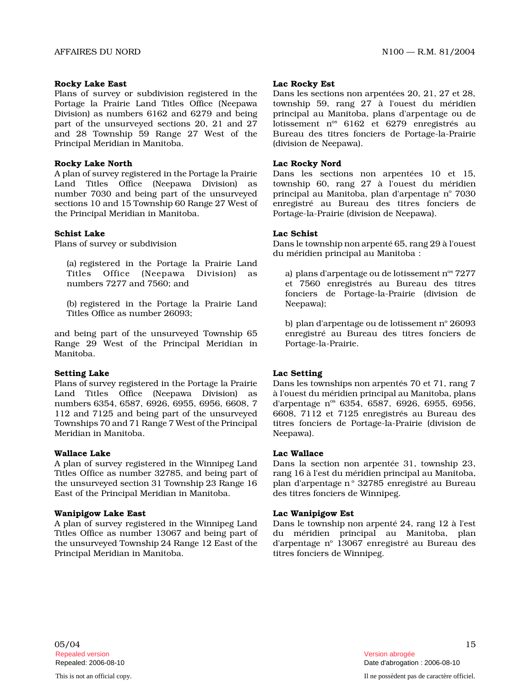## Rocky Lake East

Plans of survey or subdivision registered in the Portage la Prairie Land Titles Office (Neepawa Division) as numbers 6162 and 6279 and being part of the unsurveyed sections 20, 21 and 27 and 28 Township 59 Range 27 West of the Principal Meridian in Manitoba.

## Rocky Lake North

A plan of survey registered in the Portage la Prairie Land Titles Office (Neepawa Division) as number 7030 and being part of the unsurveyed sections 10 and 15 Township 60 Range 27 West of the Principal Meridian in Manitoba.

## Schist Lake

Plans of survey or subdivision

(a) registered in the Portage la Prairie Land Titles Office (Neepawa Division) as numbers 7277 and 7560; and

(b) registered in the Portage la Prairie Land Titles Office as number 26093;

and being part of the unsurveyed Township 65 Range 29 West of the Principal Meridian in Manitoba.

### Setting Lake

Plans of survey registered in the Portage la Prairie Land Titles Office (Neepawa Division) as numbers 6354, 6587, 6926, 6955, 6956, 6608, 7 112 and 7125 and being part of the unsurveyed Townships 70 and 71 Range 7 West of the Principal Meridian in Manitoba.

### Wallace Lake

A plan of survey registered in the Winnipeg Land Titles Office as number 32785, and being part of the unsurveyed section 31 Township 23 Range 16 East of the Principal Meridian in Manitoba.

### Wanipigow Lake East

A plan of survey registered in the Winnipeg Land Titles Office as number 13067 and being part of the unsurveyed Township 24 Range 12 East of the Principal Meridian in Manitoba.

### Lac Rocky Est

Dans les sections non arpentées 20, 21, 27 et 28, township 59, rang 27 à l'ouest du méridien principal au Manitoba, plans d'arpentage ou de lotissement n<sup>os</sup> 6162 et 6279 enregistrés au Bureau des titres fonciers de Portage-la-Prairie (division de Neepawa).

### Lac Rocky Nord

Dans les sections non arpentées 10 et 15, township 60, rang 27 à l'ouest du méridien principal au Manitoba, plan d'arpentage nº 7030 enregistré au Bureau des titres fonciers de Portage-la-Prairie (division de Neepawa).

## Lac Schist

Dans le township non arpenté 65, rang 29 à l'ouest du méridien principal au Manitoba :

a) plans d'arpentage ou de lotissement  $n^{\text{os}}$  7277 et 7560 enregistrés au Bureau des titres fonciers de Portage-la-Prairie (division de Neepawa);

b) plan d'arpentage ou de lotissement nº 26093 enregistré au Bureau des titres fonciers de Portage-la-Prairie.

### Lac Setting

Dans les townships non arpentés 70 et 71, rang 7 à l'ouest du méridien principal au Manitoba, plans d'arpentage n<sup>os</sup> 6354, 6587, 6926, 6955, 6956, 6608, 7112 et 7125 enregistrés au Bureau des titres fonciers de Portage-la-Prairie (division de Neepawa).

### Lac Wallace

Dans la section non arpentée 31, township 23, rang 16 à l'est du méridien principal au Manitoba, plan d'arpentage nº 32785 enregistré au Bureau des titres fonciers de Winnipeg.

### Lac Wanipigow Est

Dans le township non arpenté 24, rang 12 à l'est du méridien principal au Manitoba, plan d'arpentage nº 13067 enregistré au Bureau des titres fonciers de Winnipeg.

 $05/04$  and  $15$ Repealed version Version abrogée